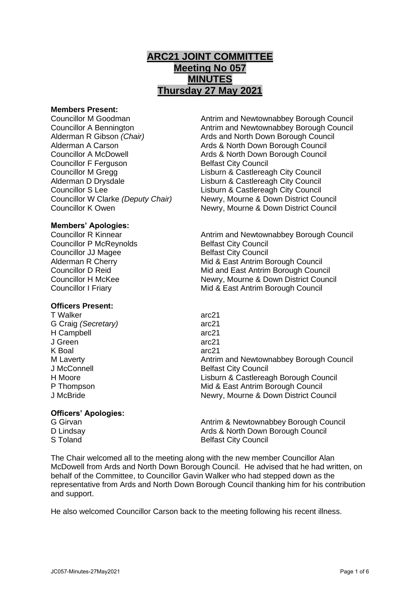# **ARC21 JOINT COMMITTEE Meeting No 057 MINUTES Thursday 27 May 2021**

#### **Members Present:**

Councillor F Ferguson Belfast City Council

Councillor M Goodman Antrim and Newtownabbey Borough Council Councillor A Bennington **Antrim and Newtownabbey Borough Council** Alderman R Gibson *(Chair)* Ards and North Down Borough Council Alderman A Carson **Ards & North Down Borough Council** Councillor A McDowell Ards & North Down Borough Council Councillor M Gregg Lisburn & Castlereagh City Council Alderman D Drysdale **Lisburn & Castlereagh City Council** Councillor S Lee<br>
Councillor W Clarke (Deputy Chair) Lisburn & Castlereagh City Council<br>
Newry, Mourne & Down District Council **Newry, Mourne & Down District Council** Councillor K Owen Newry, Mourne & Down District Council

## **Members' Apologies:**

Councillor P McReynolds Belfast City Council **Councillor JJ Magee Belfast City Council** 

## **Officers Present:**

T Walker arc21 G Craig *(Secretary)* arc21 H Campbell arc21 J Green arc21 K Boal arc21<br>
M Laverty and the contract of the contract arc21

## **Officers' Apologies:**

Councillor R Kinnear **Antrim and Newtownabbey Borough Council** Alderman R Cherry **Mid & East Antrim Borough Council** Councillor D Reid Mid and East Antrim Borough Council Councillor H McKee Newry, Mourne & Down District Council Councillor I Friary Mid & East Antrim Borough Council

Antrim and Newtownabbey Borough Council J McConnell **Belfast City Council** H Moore Lisburn & Castlereagh Borough Council P Thompson **P** Thompson **Mid & East Antrim Borough Council** J McBride Newry, Mourne & Down District Council

G Girvan **Antrim & Newtownabbey Borough Council** Antrim & Newtownabbey Borough Council D Lindsay **D** Lindsay **Ards & North Down Borough Council** S Toland Belfast City Council

The Chair welcomed all to the meeting along with the new member Councillor Alan McDowell from Ards and North Down Borough Council. He advised that he had written, on behalf of the Committee, to Councillor Gavin Walker who had stepped down as the representative from Ards and North Down Borough Council thanking him for his contribution and support.

He also welcomed Councillor Carson back to the meeting following his recent illness.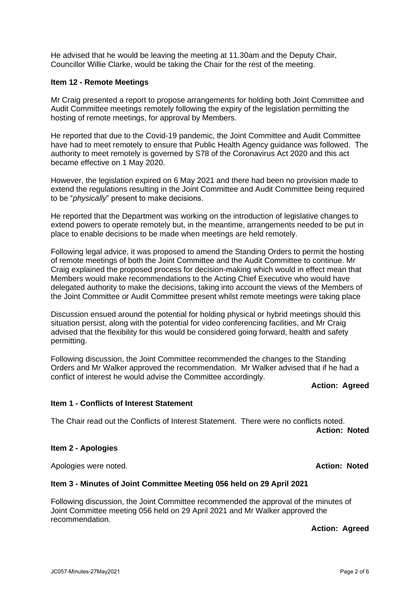He advised that he would be leaving the meeting at 11.30am and the Deputy Chair, Councillor Willie Clarke, would be taking the Chair for the rest of the meeting.

## **Item 12 - Remote Meetings**

Mr Craig presented a report to propose arrangements for holding both Joint Committee and Audit Committee meetings remotely following the expiry of the legislation permitting the hosting of remote meetings, for approval by Members.

He reported that due to the Covid-19 pandemic, the Joint Committee and Audit Committee have had to meet remotely to ensure that Public Health Agency guidance was followed. The authority to meet remotely is governed by S78 of the Coronavirus Act 2020 and this act became effective on 1 May 2020.

However, the legislation expired on 6 May 2021 and there had been no provision made to extend the regulations resulting in the Joint Committee and Audit Committee being required to be "*physically*" present to make decisions.

He reported that the Department was working on the introduction of legislative changes to extend powers to operate remotely but, in the meantime, arrangements needed to be put in place to enable decisions to be made when meetings are held remotely.

Following legal advice, it was proposed to amend the Standing Orders to permit the hosting of remote meetings of both the Joint Committee and the Audit Committee to continue. Mr Craig explained the proposed process for decision-making which would in effect mean that Members would make recommendations to the Acting Chief Executive who would have delegated authority to make the decisions, taking into account the views of the Members of the Joint Committee or Audit Committee present whilst remote meetings were taking place

Discussion ensued around the potential for holding physical or hybrid meetings should this situation persist, along with the potential for video conferencing facilities, and Mr Craig advised that the flexibility for this would be considered going forward, health and safety permitting.

Following discussion, the Joint Committee recommended the changes to the Standing Orders and Mr Walker approved the recommendation. Mr Walker advised that if he had a conflict of interest he would advise the Committee accordingly.

#### **Action: Agreed**

#### **Item 1 - Conflicts of Interest Statement**

The Chair read out the Conflicts of Interest Statement. There were no conflicts noted. **Action: Noted**

#### **Item 2 - Apologies**

Apologies were noted. **Action: Noted**

#### **Item 3 - Minutes of Joint Committee Meeting 056 held on 29 April 2021**

Following discussion, the Joint Committee recommended the approval of the minutes of Joint Committee meeting 056 held on 29 April 2021 and Mr Walker approved the recommendation.

**Action: Agreed**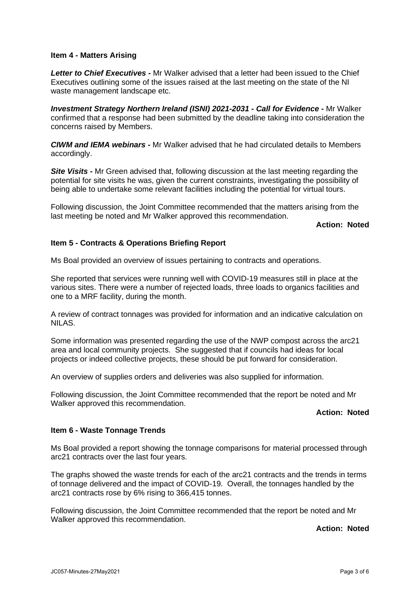#### **Item 4 - Matters Arising**

*Letter to Chief Executives -* Mr Walker advised that a letter had been issued to the Chief Executives outlining some of the issues raised at the last meeting on the state of the NI waste management landscape etc.

*Investment Strategy Northern Ireland (ISNI) 2021-2031 - Call for Evidence* **-** Mr Walker confirmed that a response had been submitted by the deadline taking into consideration the concerns raised by Members.

*CIWM and IEMA webinars -* Mr Walker advised that he had circulated details to Members accordingly.

**Site Visits -** Mr Green advised that, following discussion at the last meeting regarding the potential for site visits he was, given the current constraints, investigating the possibility of being able to undertake some relevant facilities including the potential for virtual tours.

Following discussion, the Joint Committee recommended that the matters arising from the last meeting be noted and Mr Walker approved this recommendation.

**Action: Noted**

### **Item 5 - Contracts & Operations Briefing Report**

Ms Boal provided an overview of issues pertaining to contracts and operations.

She reported that services were running well with COVID-19 measures still in place at the various sites. There were a number of rejected loads, three loads to organics facilities and one to a MRF facility, during the month.

A review of contract tonnages was provided for information and an indicative calculation on NILAS.

Some information was presented regarding the use of the NWP compost across the arc21 area and local community projects. She suggested that if councils had ideas for local projects or indeed collective projects, these should be put forward for consideration.

An overview of supplies orders and deliveries was also supplied for information.

Following discussion, the Joint Committee recommended that the report be noted and Mr Walker approved this recommendation.

## **Action: Noted**

#### **Item 6 - Waste Tonnage Trends**

Ms Boal provided a report showing the tonnage comparisons for material processed through arc21 contracts over the last four years.

The graphs showed the waste trends for each of the arc21 contracts and the trends in terms of tonnage delivered and the impact of COVID-19. Overall, the tonnages handled by the arc21 contracts rose by 6% rising to 366,415 tonnes.

Following discussion, the Joint Committee recommended that the report be noted and Mr Walker approved this recommendation.

**Action: Noted**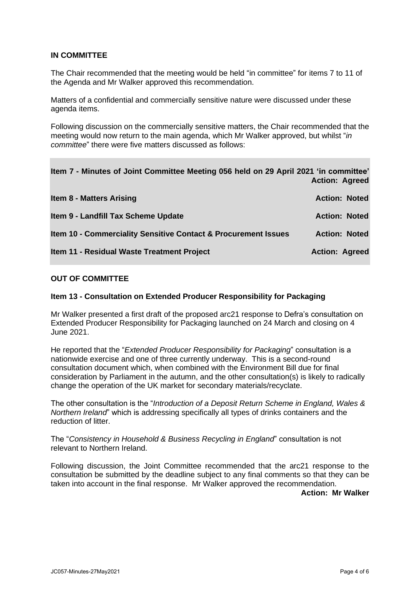## **IN COMMITTEE**

The Chair recommended that the meeting would be held "in committee" for items 7 to 11 of the Agenda and Mr Walker approved this recommendation.

Matters of a confidential and commercially sensitive nature were discussed under these agenda items.

Following discussion on the commercially sensitive matters, the Chair recommended that the meeting would now return to the main agenda, which Mr Walker approved, but whilst "*in committee*" there were five matters discussed as follows:

| Item 7 - Minutes of Joint Committee Meeting 056 held on 29 April 2021 'in committee' | <b>Action: Agreed</b> |
|--------------------------------------------------------------------------------------|-----------------------|
| <b>Item 8 - Matters Arising</b>                                                      | <b>Action: Noted</b>  |
| Item 9 - Landfill Tax Scheme Update                                                  | <b>Action: Noted</b>  |
| Item 10 - Commerciality Sensitive Contact & Procurement Issues                       | <b>Action: Noted</b>  |
| Item 11 - Residual Waste Treatment Project                                           | <b>Action: Agreed</b> |

## **OUT OF COMMITTEE**

### **Item 13 - Consultation on Extended Producer Responsibility for Packaging**

Mr Walker presented a first draft of the proposed arc21 response to Defra's consultation on Extended Producer Responsibility for Packaging launched on 24 March and closing on 4 June 2021.

He reported that the "*Extended Producer Responsibility for Packaging*" consultation is a nationwide exercise and one of three currently underway. This is a second-round consultation document which, when combined with the Environment Bill due for final consideration by Parliament in the autumn, and the other consultation(s) is likely to radically change the operation of the UK market for secondary materials/recyclate.

The other consultation is the "*Introduction of a Deposit Return Scheme in England, Wales & Northern Ireland*" which is addressing specifically all types of drinks containers and the reduction of litter.

The "*Consistency in Household & Business Recycling in England*" consultation is not relevant to Northern Ireland.

Following discussion, the Joint Committee recommended that the arc21 response to the consultation be submitted by the deadline subject to any final comments so that they can be taken into account in the final response. Mr Walker approved the recommendation.

**Action: Mr Walker**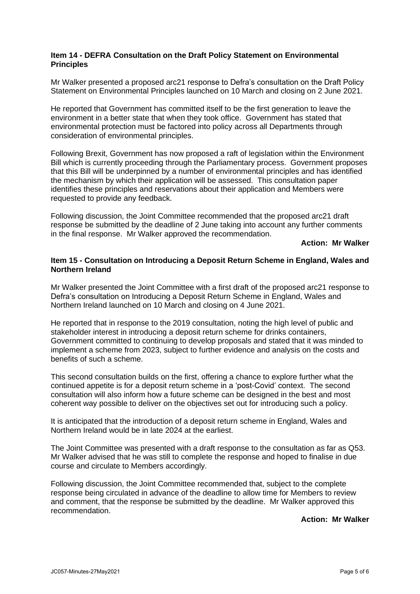#### **Item 14 - DEFRA Consultation on the Draft Policy Statement on Environmental Principles**

Mr Walker presented a proposed arc21 response to Defra's consultation on the Draft Policy Statement on Environmental Principles launched on 10 March and closing on 2 June 2021.

He reported that Government has committed itself to be the first generation to leave the environment in a better state that when they took office. Government has stated that environmental protection must be factored into policy across all Departments through consideration of environmental principles.

Following Brexit, Government has now proposed a raft of legislation within the Environment Bill which is currently proceeding through the Parliamentary process. Government proposes that this Bill will be underpinned by a number of environmental principles and has identified the mechanism by which their application will be assessed. This consultation paper identifies these principles and reservations about their application and Members were requested to provide any feedback.

Following discussion, the Joint Committee recommended that the proposed arc21 draft response be submitted by the deadline of 2 June taking into account any further comments in the final response. Mr Walker approved the recommendation.

**Action: Mr Walker**

### **Item 15 - Consultation on Introducing a Deposit Return Scheme in England, Wales and Northern Ireland**

Mr Walker presented the Joint Committee with a first draft of the proposed arc21 response to Defra's consultation on Introducing a Deposit Return Scheme in England, Wales and Northern Ireland launched on 10 March and closing on 4 June 2021.

He reported that in response to the 2019 consultation, noting the high level of public and stakeholder interest in introducing a deposit return scheme for drinks containers, Government committed to continuing to develop proposals and stated that it was minded to implement a scheme from 2023, subject to further evidence and analysis on the costs and benefits of such a scheme.

This second consultation builds on the first, offering a chance to explore further what the continued appetite is for a deposit return scheme in a 'post-Covid' context. The second consultation will also inform how a future scheme can be designed in the best and most coherent way possible to deliver on the objectives set out for introducing such a policy.

It is anticipated that the introduction of a deposit return scheme in England, Wales and Northern Ireland would be in late 2024 at the earliest.

The Joint Committee was presented with a draft response to the consultation as far as Q53. Mr Walker advised that he was still to complete the response and hoped to finalise in due course and circulate to Members accordingly.

Following discussion, the Joint Committee recommended that, subject to the complete response being circulated in advance of the deadline to allow time for Members to review and comment, that the response be submitted by the deadline. Mr Walker approved this recommendation.

**Action: Mr Walker**